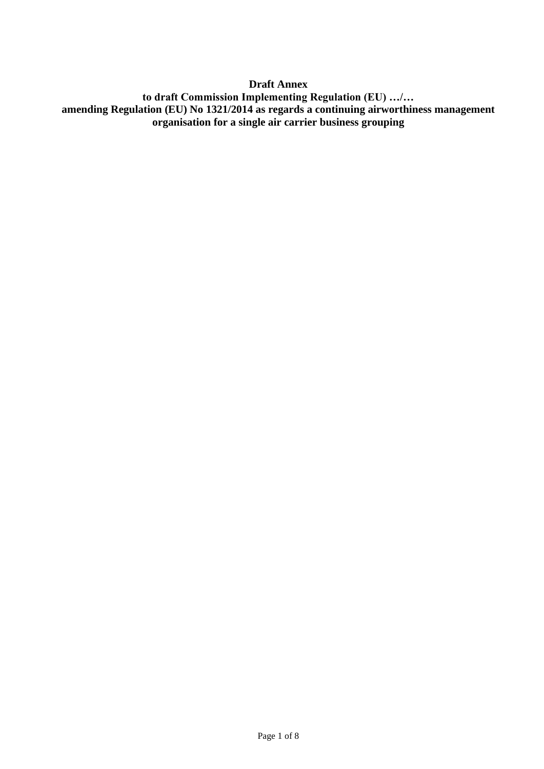**Draft Annex to draft Commission Implementing Regulation (EU) …/… amending Regulation (EU) No 1321/2014 as regards a continuing airworthiness management organisation for a single air carrier business grouping**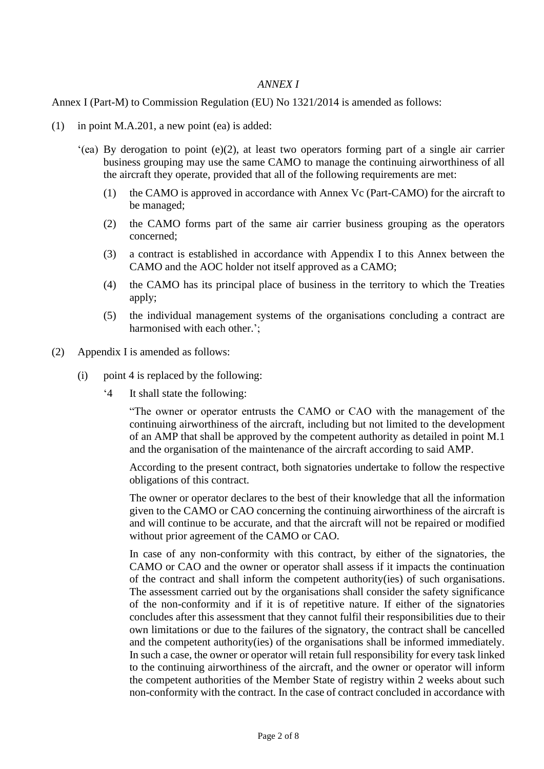## *ANNEX I*

### Annex I (Part-M) to Commission Regulation (EU) No 1321/2014 is amended as follows:

- (1) in point M.A.201, a new point (ea) is added:
	- '(ea) By derogation to point (e)(2), at least two operators forming part of a single air carrier business grouping may use the same CAMO to manage the continuing airworthiness of all the aircraft they operate, provided that all of the following requirements are met:
		- (1) the CAMO is approved in accordance with Annex Vc (Part-CAMO) for the aircraft to be managed;
		- (2) the CAMO forms part of the same air carrier business grouping as the operators concerned;
		- (3) a contract is established in accordance with Appendix I to this Annex between the CAMO and the AOC holder not itself approved as a CAMO;
		- (4) the CAMO has its principal place of business in the territory to which the Treaties apply;
		- (5) the individual management systems of the organisations concluding a contract are harmonised with each other.';
- (2) Appendix I is amended as follows:
	- (i) point 4 is replaced by the following:
		- '4 It shall state the following:

"The owner or operator entrusts the CAMO or CAO with the management of the continuing airworthiness of the aircraft, including but not limited to the development of an AMP that shall be approved by the competent authority as detailed in point M.1 and the organisation of the maintenance of the aircraft according to said AMP.

According to the present contract, both signatories undertake to follow the respective obligations of this contract.

The owner or operator declares to the best of their knowledge that all the information given to the CAMO or CAO concerning the continuing airworthiness of the aircraft is and will continue to be accurate, and that the aircraft will not be repaired or modified without prior agreement of the CAMO or CAO.

In case of any non-conformity with this contract, by either of the signatories, the CAMO or CAO and the owner or operator shall assess if it impacts the continuation of the contract and shall inform the competent authority(ies) of such organisations. The assessment carried out by the organisations shall consider the safety significance of the non-conformity and if it is of repetitive nature. If either of the signatories concludes after this assessment that they cannot fulfil their responsibilities due to their own limitations or due to the failures of the signatory, the contract shall be cancelled and the competent authority(ies) of the organisations shall be informed immediately. In such a case, the owner or operator will retain full responsibility for every task linked to the continuing airworthiness of the aircraft, and the owner or operator will inform the competent authorities of the Member State of registry within 2 weeks about such non-conformity with the contract. In the case of contract concluded in accordance with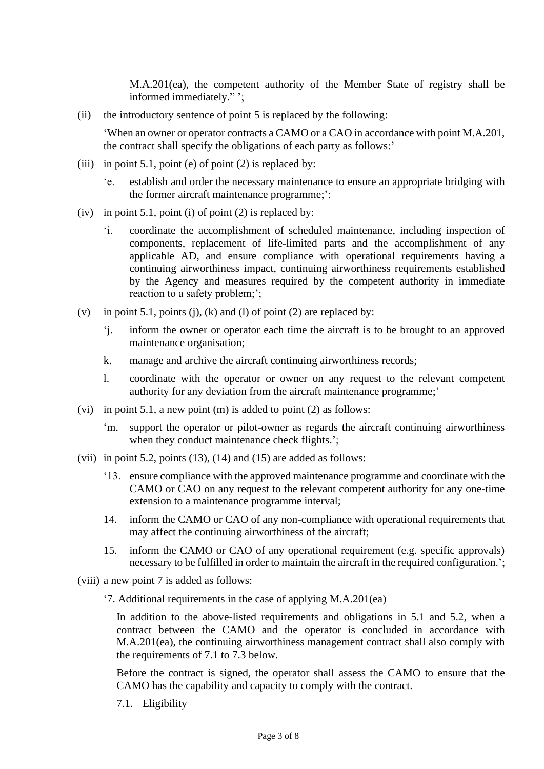M.A.201(ea), the competent authority of the Member State of registry shall be informed immediately." ';

(ii) the introductory sentence of point 5 is replaced by the following:

'When an owner or operator contracts a CAMO or a CAO in accordance with point M.A.201, the contract shall specify the obligations of each party as follows:'

- (iii) in point 5.1, point (e) of point (2) is replaced by:
	- 'e. establish and order the necessary maintenance to ensure an appropriate bridging with the former aircraft maintenance programme;';
- (iv) in point 5.1, point (i) of point (2) is replaced by:
	- 'i. coordinate the accomplishment of scheduled maintenance, including inspection of components, replacement of life-limited parts and the accomplishment of any applicable AD, and ensure compliance with operational requirements having a continuing airworthiness impact, continuing airworthiness requirements established by the Agency and measures required by the competent authority in immediate reaction to a safety problem;';
- (v) in point 5.1, points (j), (k) and (l) of point (2) are replaced by:
	- 'j. inform the owner or operator each time the aircraft is to be brought to an approved maintenance organisation;
	- k. manage and archive the aircraft continuing airworthiness records;
	- l. coordinate with the operator or owner on any request to the relevant competent authority for any deviation from the aircraft maintenance programme;'
- (vi) in point 5.1, a new point (m) is added to point (2) as follows:
	- 'm. support the operator or pilot-owner as regards the aircraft continuing airworthiness when they conduct maintenance check flights.';
- (vii) in point 5.2, points  $(13)$ ,  $(14)$  and  $(15)$  are added as follows:
	- '13. ensure compliance with the approved maintenance programme and coordinate with the CAMO or CAO on any request to the relevant competent authority for any one-time extension to a maintenance programme interval;
	- 14. inform the CAMO or CAO of any non-compliance with operational requirements that may affect the continuing airworthiness of the aircraft;
	- 15. inform the CAMO or CAO of any operational requirement (e.g. specific approvals) necessary to be fulfilled in order to maintain the aircraft in the required configuration.';
- (viii) a new point 7 is added as follows:
	- '7. Additional requirements in the case of applying M.A.201(ea)

In addition to the above-listed requirements and obligations in 5.1 and 5.2, when a contract between the CAMO and the operator is concluded in accordance with M.A.201(ea), the continuing airworthiness management contract shall also comply with the requirements of 7.1 to 7.3 below.

Before the contract is signed, the operator shall assess the CAMO to ensure that the CAMO has the capability and capacity to comply with the contract.

7.1. Eligibility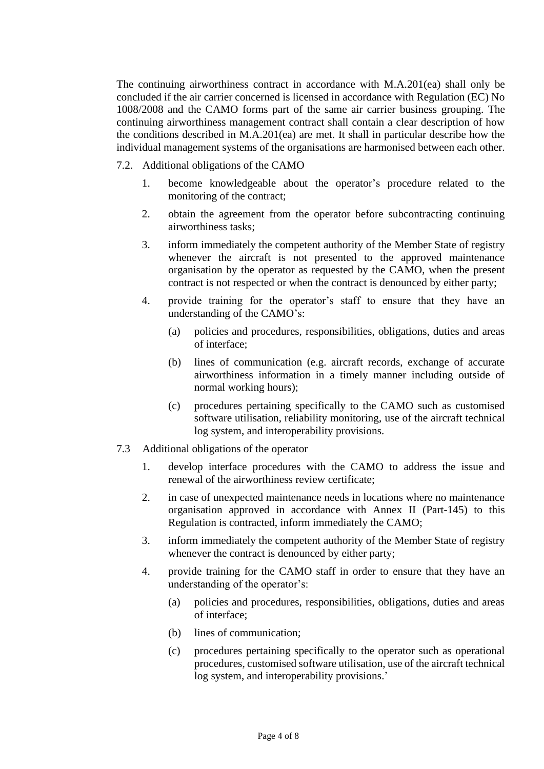The continuing airworthiness contract in accordance with M.A.201(ea) shall only be concluded if the air carrier concerned is licensed in accordance with Regulation (EC) No 1008/2008 and the CAMO forms part of the same air carrier business grouping. The continuing airworthiness management contract shall contain a clear description of how the conditions described in M.A.201(ea) are met. It shall in particular describe how the individual management systems of the organisations are harmonised between each other.

7.2. Additional obligations of the CAMO

- 1. become knowledgeable about the operator's procedure related to the monitoring of the contract;
- 2. obtain the agreement from the operator before subcontracting continuing airworthiness tasks;
- 3. inform immediately the competent authority of the Member State of registry whenever the aircraft is not presented to the approved maintenance organisation by the operator as requested by the CAMO, when the present contract is not respected or when the contract is denounced by either party;
- 4. provide training for the operator's staff to ensure that they have an understanding of the CAMO's:
	- (a) policies and procedures, responsibilities, obligations, duties and areas of interface;
	- (b) lines of communication (e.g. aircraft records, exchange of accurate airworthiness information in a timely manner including outside of normal working hours);
	- (c) procedures pertaining specifically to the CAMO such as customised software utilisation, reliability monitoring, use of the aircraft technical log system, and interoperability provisions.
- 7.3 Additional obligations of the operator
	- 1. develop interface procedures with the CAMO to address the issue and renewal of the airworthiness review certificate;
	- 2. in case of unexpected maintenance needs in locations where no maintenance organisation approved in accordance with Annex II (Part-145) to this Regulation is contracted, inform immediately the CAMO;
	- 3. inform immediately the competent authority of the Member State of registry whenever the contract is denounced by either party;
	- 4. provide training for the CAMO staff in order to ensure that they have an understanding of the operator's:
		- (a) policies and procedures, responsibilities, obligations, duties and areas of interface;
		- (b) lines of communication;
		- (c) procedures pertaining specifically to the operator such as operational procedures, customised software utilisation, use of the aircraft technical log system, and interoperability provisions.'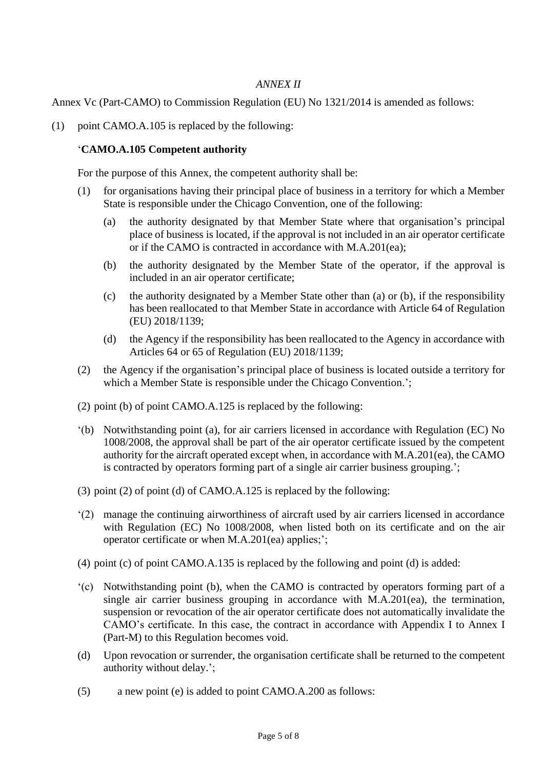# *ANNEX II*

Annex Vc (Part-CAMO) to Commission Regulation (EU) No 1321/2014 is amended as follows:

(1) point CAMO.A.105 is replaced by the following:

## '**CAMO.A.105 Competent authority**

For the purpose of this Annex, the competent authority shall be:

- (1) for organisations having their principal place of business in a territory for which a Member State is responsible under the Chicago Convention, one of the following:
	- (a) the authority designated by that Member State where that organisation's principal place of business is located, if the approval is not included in an air operator certificate or if the CAMO is contracted in accordance with M.A.201(ea);
	- (b) the authority designated by the Member State of the operator, if the approval is included in an air operator certificate;
	- (c) the authority designated by a Member State other than (a) or (b), if the responsibility has been reallocated to that Member State in accordance with Article 64 of Regulation (EU) 2018/1139;
	- (d) the Agency if the responsibility has been reallocated to the Agency in accordance with Articles 64 or 65 of Regulation (EU) 2018/1139;
- (2) the Agency if the organisation's principal place of business is located outside a territory for which a Member State is responsible under the Chicago Convention.';
- (2) point (b) of point CAMO.A.125 is replaced by the following:
- '(b) Notwithstanding point (a), for air carriers licensed in accordance with Regulation (EC) No 1008/2008, the approval shall be part of the air operator certificate issued by the competent authority for the aircraft operated except when, in accordance with M.A.201(ea), the CAMO is contracted by operators forming part of a single air carrier business grouping.';
- (3) point (2) of point (d) of CAMO.A.125 is replaced by the following:
- '(2) manage the continuing airworthiness of aircraft used by air carriers licensed in accordance with Regulation (EC) No 1008/2008, when listed both on its certificate and on the air operator certificate or when M.A.201(ea) applies;';
- (4) point (c) of point CAMO.A.135 is replaced by the following and point (d) is added:
- '(c) Notwithstanding point (b), when the CAMO is contracted by operators forming part of a single air carrier business grouping in accordance with M.A.201(ea), the termination, suspension or revocation of the air operator certificate does not automatically invalidate the CAMO's certificate. In this case, the contract in accordance with Appendix I to Annex I (Part-M) to this Regulation becomes void.
- (d) Upon revocation or surrender, the organisation certificate shall be returned to the competent authority without delay.';
- (5) a new point (e) is added to point CAMO.A.200 as follows: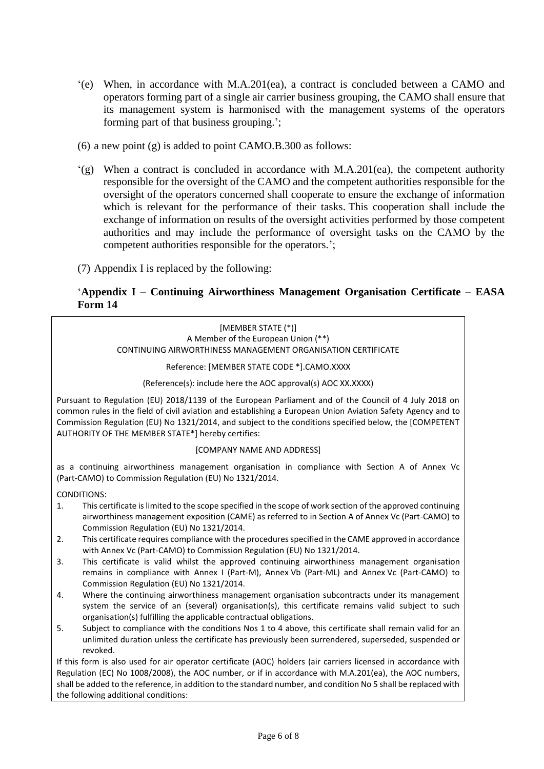- '(e) When, in accordance with M.A.201(ea), a contract is concluded between a CAMO and operators forming part of a single air carrier business grouping, the CAMO shall ensure that its management system is harmonised with the management systems of the operators forming part of that business grouping.';
- (6) a new point (g) is added to point CAMO.B.300 as follows:
- $'(g)$  When a contract is concluded in accordance with M.A.201(ea), the competent authority responsible for the oversight of the CAMO and the competent authorities responsible for the oversight of the operators concerned shall cooperate to ensure the exchange of information which is relevant for the performance of their tasks. This cooperation shall include the exchange of information on results of the oversight activities performed by those competent authorities and may include the performance of oversight tasks on the CAMO by the competent authorities responsible for the operators.';
- (7) Appendix I is replaced by the following:

# '**Appendix I – Continuing Airworthiness Management Organisation Certificate – EASA Form 14**

[MEMBER STATE (\*)] A Member of the European Union (\*\*) CONTINUING AIRWORTHINESS MANAGEMENT ORGANISATION CERTIFICATE

Reference: [MEMBER STATE CODE \*].CAMO.XXXX

(Reference(s): include here the AOC approval(s) AOC XX.XXXX)

Pursuant to Regulation (EU) 2018/1139 of the European Parliament and of the Council of 4 July 2018 on common rules in the field of civil aviation and establishing a European Union Aviation Safety Agency and to Commission Regulation (EU) No 1321/2014, and subject to the conditions specified below, the [COMPETENT AUTHORITY OF THE MEMBER STATE\*] hereby certifies:

#### [COMPANY NAME AND ADDRESS]

as a continuing airworthiness management organisation in compliance with Section A of Annex Vc (Part-CAMO) to Commission Regulation (EU) No 1321/2014.

CONDITIONS:

- 1. This certificate is limited to the scope specified in the scope of work section of the approved continuing airworthiness management exposition (CAME) as referred to in Section A of Annex Vc (Part-CAMO) to Commission Regulation (EU) No 1321/2014.
- 2. This certificate requires compliance with the procedures specified in the CAME approved in accordance with Annex Vc (Part-CAMO) to Commission Regulation (EU) No 1321/2014.
- 3. This certificate is valid whilst the approved continuing airworthiness management organisation remains in compliance with Annex I (Part-M), Annex Vb (Part-ML) and Annex Vc (Part-CAMO) to Commission Regulation (EU) No 1321/2014.
- 4. Where the continuing airworthiness management organisation subcontracts under its management system the service of an (several) organisation(s), this certificate remains valid subject to such organisation(s) fulfilling the applicable contractual obligations.
- 5. Subject to compliance with the conditions Nos 1 to 4 above, this certificate shall remain valid for an unlimited duration unless the certificate has previously been surrendered, superseded, suspended or revoked.

If this form is also used for air operator certificate (AOC) holders (air carriers licensed in accordance with Regulation (EC) No 1008/2008), the AOC number, or if in accordance with M.A.201(ea), the AOC numbers, shall be added to the reference, in addition to the standard number, and condition No 5 shall be replaced with the following additional conditions: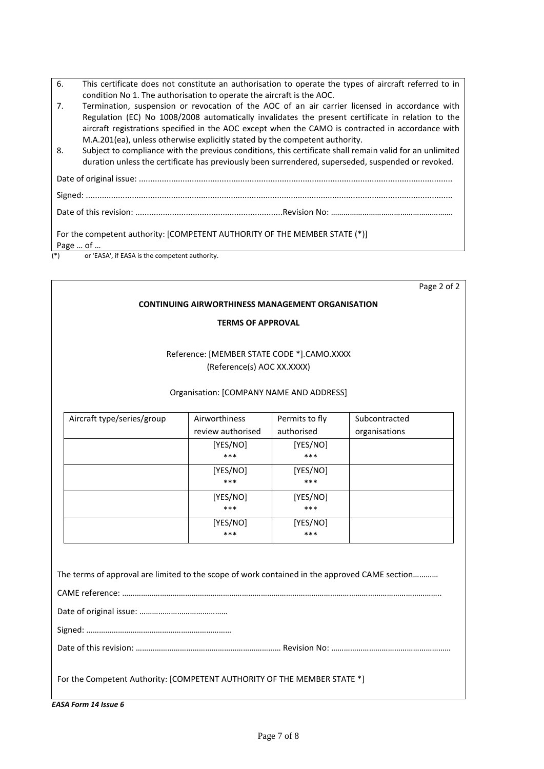| This certificate does not constitute an authorisation to operate the types of aircraft referred to in |
|-------------------------------------------------------------------------------------------------------|
| condition No 1. The authorisation to operate the aircraft is the AOC.                                 |

| 7. | Termination, suspension or revocation of the AOC of an air carrier licensed in accordance with    |
|----|---------------------------------------------------------------------------------------------------|
|    | Regulation (EC) No 1008/2008 automatically invalidates the present certificate in relation to the |
|    | aircraft registrations specified in the AOC except when the CAMO is contracted in accordance with |
|    | M.A.201(ea), unless otherwise explicitly stated by the competent authority.                       |

8. Subject to compliance with the previous conditions, this certificate shall remain valid for an unlimited duration unless the certificate has previously been surrendered, superseded, suspended or revoked.

Date of original issue: ........................................................................................................................................

Signed: ...............................................................................................................................................................

Date of this revision: ................................................................Revision No: ………………………………………………….

For the competent authority: [COMPETENT AUTHORITY OF THE MEMBER STATE (\*)] Page … of …

or 'EASA', if EASA is the competent authority.

Page 2 of 2

#### **CONTINUING AIRWORTHINESS MANAGEMENT ORGANISATION**

#### **TERMS OF APPROVAL**

### Reference: [MEMBER STATE CODE \*].CAMO.XXXX (Reference(s) AOC XX.XXXX)

#### Organisation: [COMPANY NAME AND ADDRESS]

| Aircraft type/series/group | Airworthiness     | Permits to fly | Subcontracted |
|----------------------------|-------------------|----------------|---------------|
|                            | review authorised | authorised     | organisations |
|                            | [YES/NO]          | [YES/NO]       |               |
|                            | ***               | ***            |               |
|                            | [YES/NO]          | [YES/NO]       |               |
|                            | ***               | ***            |               |
|                            | [YES/NO]          | [YES/NO]       |               |
|                            | ***               | ***            |               |
|                            | [YES/NO]          | [YES/NO]       |               |
|                            | ***               | ***            |               |

The terms of approval are limited to the scope of work contained in the approved CAME section…………

CAME reference: …………………………………………………………………………………………………………………………………….. Date of original issue: ……………………………………………

Signed: ……………………………………………………………

Date of this revision: …………………………………………………………… Revision No: …………………………………………………

For the Competent Authority: [COMPETENT AUTHORITY OF THE MEMBER STATE \*]

*EASA Form 14 Issue 6*